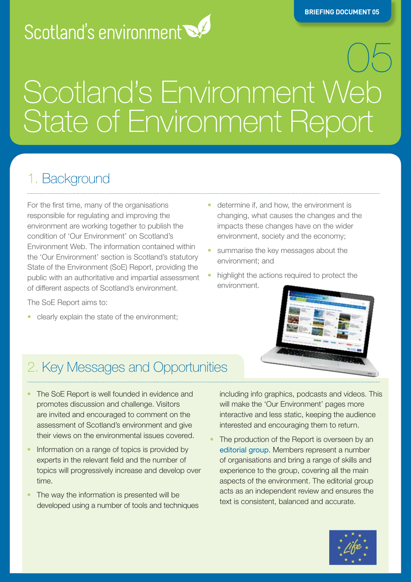# Scotland's environment

# 05 **Scotland's Environment Web State of the Environment Report**

#### 1. Background

For the first time, many of the organisations responsible for regulating and improving the environment are working together to publish the condition of 'Our Environment' on Scotland's Environment Web. The information contained within the 'Our Environment' section is Scotland's statutory State of the Environment (SoE) Report, providing the public with an authoritative and impartial assessment of different aspects of Scotland's environment.

The SoE Report aims to:

• clearly explain the state of the environment;

- determine if, and how, the environment is changing, what causes the changes and the impacts these changes have on the wider environment, society and the economy;
- summarise the key messages about the environment; and
- highlight the actions required to protect the environment.



#### 2. Key Messages and Opportunities

- The SoE Report is well founded in evidence and promotes discussion and challenge. Visitors are invited and encouraged to comment on the assessment of Scotland's environment and give their views on the environmental issues covered.
- Information on a range of topics is provided by experts in the relevant field and the number of topics will progressively increase and develop over time.
- The way the information is presented will be developed using a number of tools and techniques

including info graphics, podcasts and videos. This will make the 'Our Environment' pages more interactive and less static, keeping the audience interested and encouraging them to return.

The production of the Report is overseen by an [editorial group](http://www.environment.scotland.gov.uk/our_environment/overall_summary/our_approach/who_wrote_this.aspx#sthash.wTdMiJev.dpbs) . Members represent a number of organisations and bring a range of skills and experience to the group, covering all the main aspects of the environment. The editorial group acts as an independent review and ensures the text is consistent, balanced and accurate.